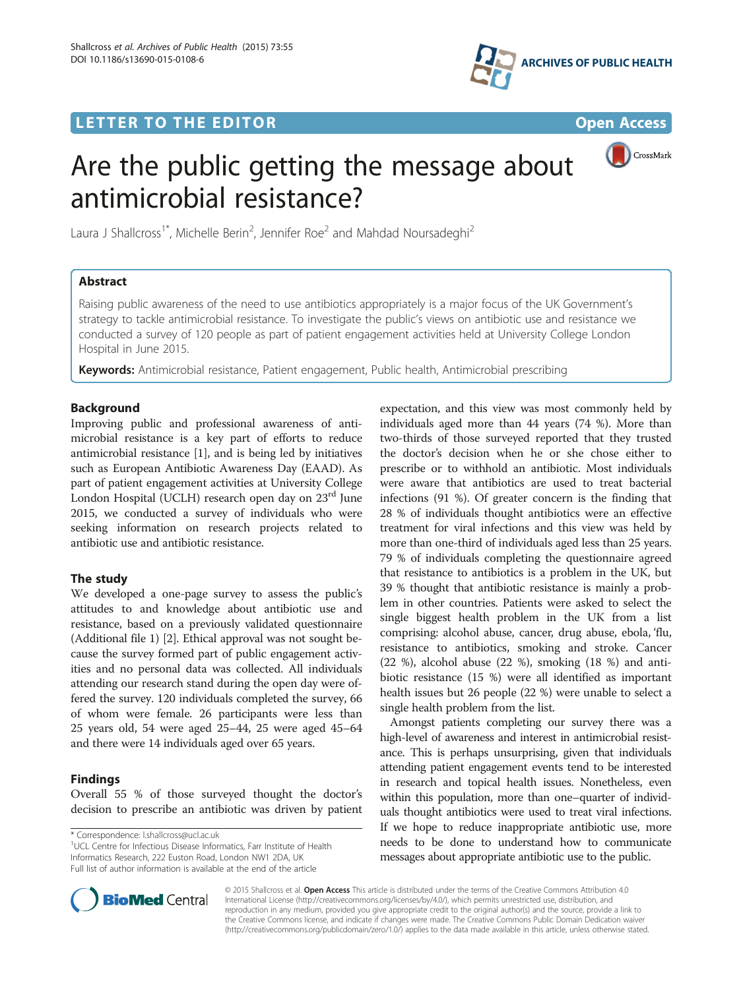## **LETTER TO THE EDITOR CONSIDERING ACCESS**



CrossMark

# Are the public getting the message about antimicrobial resistance?

Laura J Shallcross<sup>1\*</sup>, Michelle Berin<sup>2</sup>, Jennifer Roe<sup>2</sup> and Mahdad Noursadeghi<sup>2</sup>

## Abstract

Raising public awareness of the need to use antibiotics appropriately is a major focus of the UK Government's strategy to tackle antimicrobial resistance. To investigate the public's views on antibiotic use and resistance we conducted a survey of 120 people as part of patient engagement activities held at University College London Hospital in June 2015.

Keywords: Antimicrobial resistance, Patient engagement, Public health, Antimicrobial prescribing

## Background

Improving public and professional awareness of antimicrobial resistance is a key part of efforts to reduce antimicrobial resistance [\[1](#page-1-0)], and is being led by initiatives such as European Antibiotic Awareness Day (EAAD). As part of patient engagement activities at University College London Hospital (UCLH) research open day on 23<sup>rd</sup> June 2015, we conducted a survey of individuals who were seeking information on research projects related to antibiotic use and antibiotic resistance.

## The study

We developed a one-page survey to assess the public's attitudes to and knowledge about antibiotic use and resistance, based on a previously validated questionnaire (Additional file [1\)](#page-1-0) [[2](#page-1-0)]. Ethical approval was not sought because the survey formed part of public engagement activities and no personal data was collected. All individuals attending our research stand during the open day were offered the survey. 120 individuals completed the survey, 66 of whom were female. 26 participants were less than 25 years old, 54 were aged 25–44, 25 were aged 45–64 and there were 14 individuals aged over 65 years.

## Findings

Overall 55 % of those surveyed thought the doctor's decision to prescribe an antibiotic was driven by patient

\* Correspondence: [l.shallcross@ucl.ac.uk](mailto:l.shallcross@ucl.ac.uk) <sup>1</sup>

<sup>1</sup>UCL Centre for Infectious Disease Informatics, Farr Institute of Health Informatics Research, 222 Euston Road, London NW1 2DA, UK Full list of author information is available at the end of the article

expectation, and this view was most commonly held by individuals aged more than 44 years (74 %). More than two-thirds of those surveyed reported that they trusted the doctor's decision when he or she chose either to prescribe or to withhold an antibiotic. Most individuals were aware that antibiotics are used to treat bacterial infections (91 %). Of greater concern is the finding that 28 % of individuals thought antibiotics were an effective treatment for viral infections and this view was held by more than one-third of individuals aged less than 25 years. 79 % of individuals completing the questionnaire agreed that resistance to antibiotics is a problem in the UK, but 39 % thought that antibiotic resistance is mainly a problem in other countries. Patients were asked to select the single biggest health problem in the UK from a list comprising: alcohol abuse, cancer, drug abuse, ebola, 'flu, resistance to antibiotics, smoking and stroke. Cancer (22 %), alcohol abuse (22 %), smoking (18 %) and antibiotic resistance (15 %) were all identified as important health issues but 26 people (22 %) were unable to select a single health problem from the list.

Amongst patients completing our survey there was a high-level of awareness and interest in antimicrobial resistance. This is perhaps unsurprising, given that individuals attending patient engagement events tend to be interested in research and topical health issues. Nonetheless, even within this population, more than one–quarter of individuals thought antibiotics were used to treat viral infections. If we hope to reduce inappropriate antibiotic use, more needs to be done to understand how to communicate messages about appropriate antibiotic use to the public.



© 2015 Shallcross et al. Open Access This article is distributed under the terms of the Creative Commons Attribution 4.0 International License [\(http://creativecommons.org/licenses/by/4.0/](http://creativecommons.org/licenses/by/4.0/)), which permits unrestricted use, distribution, and reproduction in any medium, provided you give appropriate credit to the original author(s) and the source, provide a link to the Creative Commons license, and indicate if changes were made. The Creative Commons Public Domain Dedication waiver [\(http://creativecommons.org/publicdomain/zero/1.0/](http://creativecommons.org/publicdomain/zero/1.0/)) applies to the data made available in this article, unless otherwise stated.